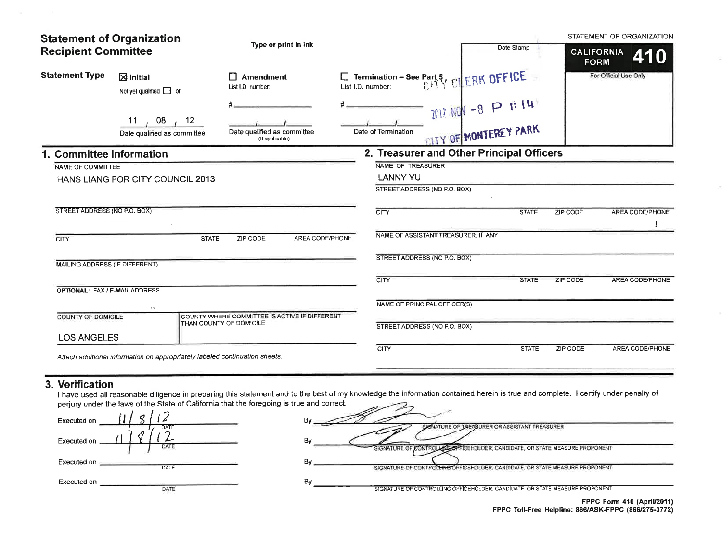| <b>Statement of Organization</b><br><b>Recipient Committee</b> |                                                                             | Type or print in ink                                                     |                                                   | Date Stamp                                    | <b>CALIFORNIA</b><br><b>FORM</b> | STATEMENT OF ORGANIZATION<br>410 |
|----------------------------------------------------------------|-----------------------------------------------------------------------------|--------------------------------------------------------------------------|---------------------------------------------------|-----------------------------------------------|----------------------------------|----------------------------------|
| <b>Statement Type</b>                                          | $\boxtimes$ Initial<br>Not yet qualified $\Box$ or                          | $\Box$ Amendment<br>List I.D. number:                                    | List I.D. number: <b>See Part 5, CLERK OFFICE</b> |                                               |                                  | For Official Use Only            |
|                                                                | 08<br>12 <sup>2</sup><br>11<br>Date qualified as committee                  | Date qualified as committee<br>(If applicable)                           | Date of Termination                               | ZO12 NON -8 P F 14<br>- OITY OF MONTEREY PARK |                                  |                                  |
| 1. Committee Information                                       |                                                                             |                                                                          | 2. Treasurer and Other Principal Officers         |                                               |                                  |                                  |
| NAME OF COMMITTEE                                              |                                                                             |                                                                          | NAME OF TREASURER                                 |                                               |                                  |                                  |
|                                                                | HANS LIANG FOR CITY COUNCIL 2013                                            |                                                                          | <b>LANNY YU</b><br>STREET ADDRESS (NO P.O. BOX)   |                                               |                                  |                                  |
| STREET ADDRESS (NO P.O. BOX)                                   |                                                                             |                                                                          | <b>CITY</b>                                       | <b>STATE</b>                                  | <b>ZIP CODE</b>                  | AREA CODE/PHONE                  |
| <b>CITY</b>                                                    | <b>STATE</b>                                                                | AREA CODE/PHONE<br>ZIP CODE                                              | NAME OF ASSISTANT TREASURER, IF ANY               |                                               |                                  |                                  |
| MAILING ADDRESS (IF DIFFERENT)                                 |                                                                             |                                                                          | STREET ADDRESS (NO P.O. BOX)                      |                                               |                                  |                                  |
| <b>OPTIONAL: FAX / E-MAIL ADDRESS</b>                          |                                                                             |                                                                          | <b>CITY</b>                                       | <b>STATE</b>                                  | <b>ZIP CODE</b>                  | <b>AREA CODE/PHONE</b>           |
|                                                                | $\overline{\phantom{a}}$                                                    |                                                                          | NAME OF PRINCIPAL OFFICER(S)                      |                                               |                                  |                                  |
| COUNTY OF DOMICILE<br><b>LOS ANGELES</b>                       |                                                                             | COUNTY WHERE COMMITTEE IS ACTIVE IF DIFFERENT<br>THAN COUNTY OF DOMICILE | STREET ADDRESS (NO P.O. BOX)                      |                                               |                                  |                                  |
|                                                                | Attach additional information on appropriately labeled continuation sheets. |                                                                          | <b>CITY</b>                                       | <b>STATE</b>                                  | ZIP CODE                         | AREA CODE/PHONE                  |

## 3. Verification

 $\sim$ 

I have used all reasonable diligence in preparing this statement and to the best of my knowledge the information contained herein is true and complete. I certify under penalty of perjury under the laws of the State of Cali

| Executed on         | В٧                                                                                               |
|---------------------|--------------------------------------------------------------------------------------------------|
| <b>DATE</b>         | SIGNATURE OF TREASURER OR ASSISTANT TREASURER                                                    |
| Executed on         | By                                                                                               |
| DATE                | SIGNATURE OF CONTROLLECTRICEHOLDER, CANDIDATE, OR STATE MEASURE PROPONENT                        |
| Executed on         | By                                                                                               |
| DATE                | SIGNATURE OF CONTROLLING OFFICEHOLDER, CANDIDATE, OR STATE MEASURE PROPONENT                     |
| Executed on<br>DATE | Bv<br>SIGNATURE OF CONTROLLING OFFICEHOLDER, CANDIDATE, OR STATE MEASURE PROPONENT<br>$F = 44.4$ |

FPPC Form 410 (April/2011) FPPC Toll-Free Helpline: 866/ASK-FPPC (866/275-3772)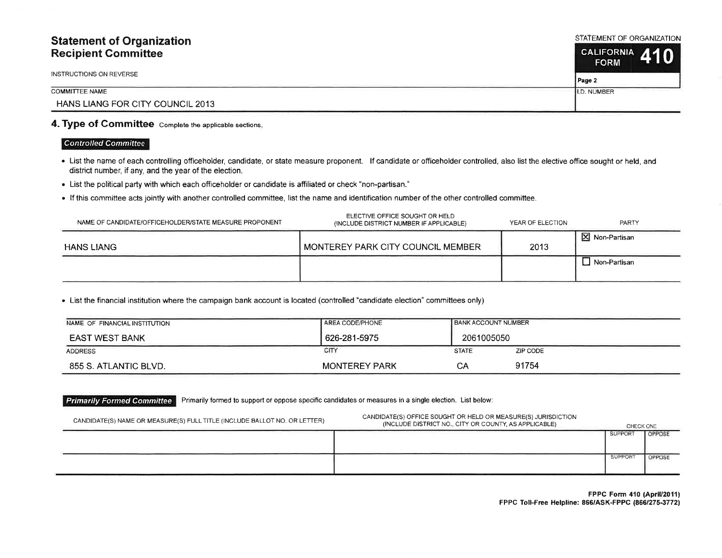## **Statement of Organization Recipient Committee**

INSTRUCTIONS ON REVERSE

### **COMMITTEE NAME**

HANS LIANG FOR CITY COUNCIL 2013

## 4. Type of Committee Complete the applicable sections.

## **Controlled Committee**

- List the name of each controlling officeholder, candidate, or state measure proponent. If candidate or officeholder controlled, also list the elective office sought or held, and district number, if any, and the year of the election.
- List the political party with which each officeholder or candidate is affiliated or check "non-partisan."
- If this committee acts jointly with another controlled committee, list the name and identification number of the other controlled committee.

| NAME OF CANDIDATE/OFFICEHOLDER/STATE MEASURE PROPONENT | ELECTIVE OFFICE SOUGHT OR HELD<br>(INCLUDE DISTRICT NUMBER IF APPLICABLE) | YEAR OF ELECTION | PARTY                    |
|--------------------------------------------------------|---------------------------------------------------------------------------|------------------|--------------------------|
| <b>HANS LIANG</b>                                      | I MONTEREY PARK CITY COUNCIL MEMBER                                       | 2013             | $\boxtimes$ Non-Partisan |
|                                                        |                                                                           |                  | Non-Partisan             |

• List the financial institution where the campaign bank account is located (controlled "candidate election" committees only)

| NAME OF FINANCIAL INSTITUTION | AREA CODE/PHONE      | <b>BANK ACCOUNT NUMBER</b> |          |
|-------------------------------|----------------------|----------------------------|----------|
| <b>EAST WEST BANK</b>         | 626-281-5975         | 2061005050                 |          |
| <b>ADDRESS</b>                | CITY                 | <b>STATE</b>               | ZIP CODE |
| 855 S. ATLANTIC BLVD.         | <b>MONTEREY PARK</b> | СA                         | 91754    |

#### **Primarily Formed Committee** Primarily formed to support or oppose specific candidates or measures in a single election. List below:

| CANDIDATE(S) NAME OR MEASURE(S) FULL TITLE (INCLUDE BALLOT NO. OR LETTER) | CANDIDATE(S) OFFICE SOUGHT OR HELD OR MEASURE(S) JURISDICTION<br>(INCLUDE DISTRICT NO., CITY OR COUNTY, AS APPLICABLE) | CHECK ONE           |        |
|---------------------------------------------------------------------------|------------------------------------------------------------------------------------------------------------------------|---------------------|--------|
|                                                                           |                                                                                                                        | <b>SUPPORT</b>      | OPPOSE |
|                                                                           |                                                                                                                        | SUPPOR <sup>®</sup> | OPPOSE |

FPPC Form 410 (April/2011) FPPC Toll-Free Helpline: 866/ASK-FPPC (866/275-3772)

STATEMENT OF ORGANIZATION

| <b>CALIFORNIA</b><br><b>FORM</b> | 44 I O |  |
|----------------------------------|--------|--|
| Page 2                           |        |  |

I.D. NUMBER